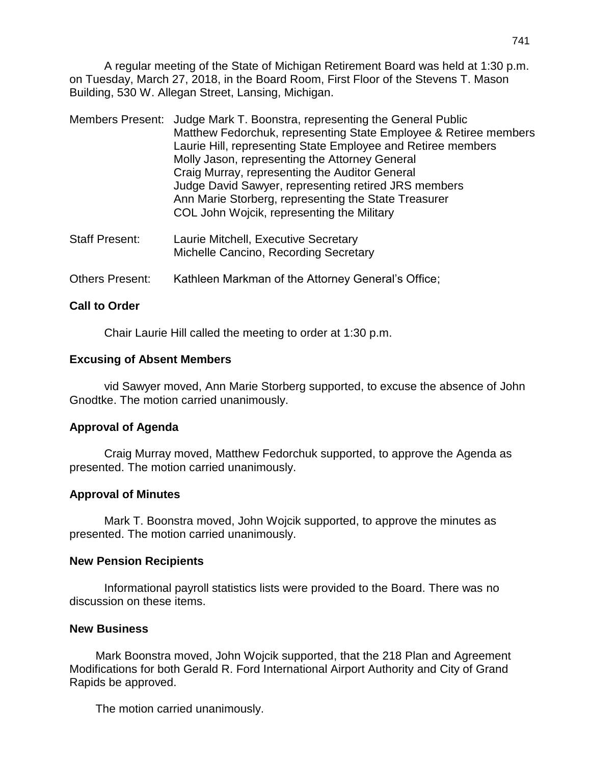A regular meeting of the State of Michigan Retirement Board was held at 1:30 p.m. on Tuesday, March 27, 2018, in the Board Room, First Floor of the Stevens T. Mason Building, 530 W. Allegan Street, Lansing, Michigan.

|                       | Members Present: Judge Mark T. Boonstra, representing the General Public<br>Matthew Fedorchuk, representing State Employee & Retiree members<br>Laurie Hill, representing State Employee and Retiree members<br>Molly Jason, representing the Attorney General<br>Craig Murray, representing the Auditor General<br>Judge David Sawyer, representing retired JRS members<br>Ann Marie Storberg, representing the State Treasurer<br>COL John Wojcik, representing the Military |
|-----------------------|--------------------------------------------------------------------------------------------------------------------------------------------------------------------------------------------------------------------------------------------------------------------------------------------------------------------------------------------------------------------------------------------------------------------------------------------------------------------------------|
| <b>Staff Present:</b> | Laurie Mitchell, Executive Secretary                                                                                                                                                                                                                                                                                                                                                                                                                                           |

Michelle Cancino, Recording Secretary

Others Present: Kathleen Markman of the Attorney General's Office;

## **Call to Order**

Chair Laurie Hill called the meeting to order at 1:30 p.m.

## **Excusing of Absent Members**

vid Sawyer moved, Ann Marie Storberg supported, to excuse the absence of John Gnodtke. The motion carried unanimously.

## **Approval of Agenda**

Craig Murray moved, Matthew Fedorchuk supported, to approve the Agenda as presented. The motion carried unanimously.

## **Approval of Minutes**

Mark T. Boonstra moved, John Wojcik supported, to approve the minutes as presented. The motion carried unanimously.

## **New Pension Recipients**

Informational payroll statistics lists were provided to the Board. There was no discussion on these items.

## **New Business**

Mark Boonstra moved, John Wojcik supported, that the 218 Plan and Agreement Modifications for both Gerald R. Ford International Airport Authority and City of Grand Rapids be approved.

The motion carried unanimously.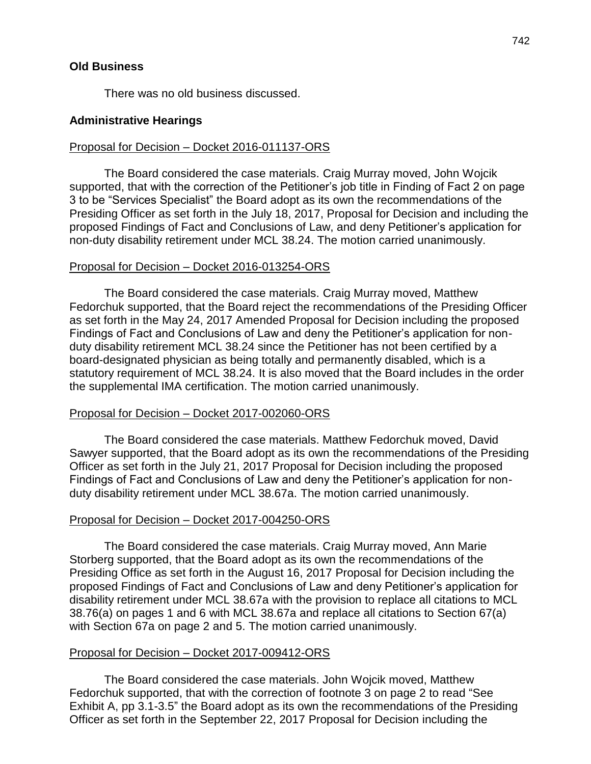There was no old business discussed.

## **Administrative Hearings**

## Proposal for Decision – Docket 2016-011137-ORS

The Board considered the case materials. Craig Murray moved, John Wojcik supported, that with the correction of the Petitioner's job title in Finding of Fact 2 on page 3 to be "Services Specialist" the Board adopt as its own the recommendations of the Presiding Officer as set forth in the July 18, 2017, Proposal for Decision and including the proposed Findings of Fact and Conclusions of Law, and deny Petitioner's application for non-duty disability retirement under MCL 38.24. The motion carried unanimously.

#### Proposal for Decision – Docket 2016-013254-ORS

The Board considered the case materials. Craig Murray moved, Matthew Fedorchuk supported, that the Board reject the recommendations of the Presiding Officer as set forth in the May 24, 2017 Amended Proposal for Decision including the proposed Findings of Fact and Conclusions of Law and deny the Petitioner's application for nonduty disability retirement MCL 38.24 since the Petitioner has not been certified by a board-designated physician as being totally and permanently disabled, which is a statutory requirement of MCL 38.24. It is also moved that the Board includes in the order the supplemental IMA certification. The motion carried unanimously.

#### Proposal for Decision – Docket 2017-002060-ORS

The Board considered the case materials. Matthew Fedorchuk moved, David Sawyer supported, that the Board adopt as its own the recommendations of the Presiding Officer as set forth in the July 21, 2017 Proposal for Decision including the proposed Findings of Fact and Conclusions of Law and deny the Petitioner's application for nonduty disability retirement under MCL 38.67a. The motion carried unanimously.

#### Proposal for Decision – Docket 2017-004250-ORS

The Board considered the case materials. Craig Murray moved, Ann Marie Storberg supported, that the Board adopt as its own the recommendations of the Presiding Office as set forth in the August 16, 2017 Proposal for Decision including the proposed Findings of Fact and Conclusions of Law and deny Petitioner's application for disability retirement under MCL 38.67a with the provision to replace all citations to MCL 38.76(a) on pages 1 and 6 with MCL 38.67a and replace all citations to Section 67(a) with Section 67a on page 2 and 5. The motion carried unanimously.

#### Proposal for Decision – Docket 2017-009412-ORS

The Board considered the case materials. John Wojcik moved, Matthew Fedorchuk supported, that with the correction of footnote 3 on page 2 to read "See Exhibit A, pp 3.1-3.5" the Board adopt as its own the recommendations of the Presiding Officer as set forth in the September 22, 2017 Proposal for Decision including the